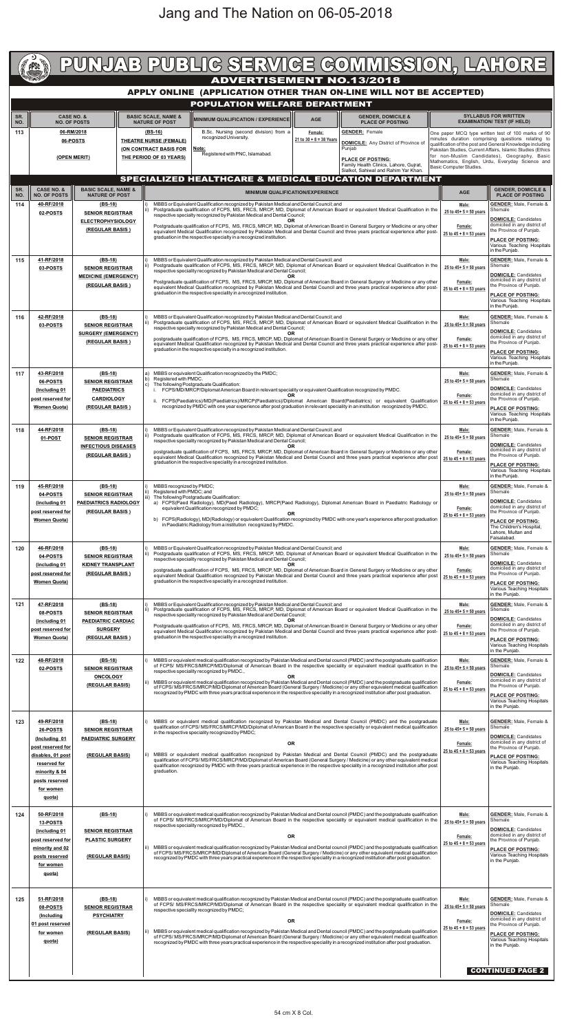|                                                                                                       | <b>PPSD</b>                                                                          |                                                       |  |                                                                                                                                                                                                                         |                                                                                                                                                                                                                                                                                                                                              |                                                                                                                                                                     |                                 |                                         |           |                                      |         |                                                             |                                                                                                                                |                                                                                                                                                                                                                                                                                                                                                                                                                       |                                                                                        | PUNJAB PUBLIC SERVICE COMMISSION, LAHORE                                                                                                                             |
|-------------------------------------------------------------------------------------------------------|--------------------------------------------------------------------------------------|-------------------------------------------------------|--|-------------------------------------------------------------------------------------------------------------------------------------------------------------------------------------------------------------------------|----------------------------------------------------------------------------------------------------------------------------------------------------------------------------------------------------------------------------------------------------------------------------------------------------------------------------------------------|---------------------------------------------------------------------------------------------------------------------------------------------------------------------|---------------------------------|-----------------------------------------|-----------|--------------------------------------|---------|-------------------------------------------------------------|--------------------------------------------------------------------------------------------------------------------------------|-----------------------------------------------------------------------------------------------------------------------------------------------------------------------------------------------------------------------------------------------------------------------------------------------------------------------------------------------------------------------------------------------------------------------|----------------------------------------------------------------------------------------|----------------------------------------------------------------------------------------------------------------------------------------------------------------------|
| <b>ADVERTISEMENT NO.13/2018</b><br>APPLY ONLINE (APPLICATION OTHER THAN ON-LINE WILL NOT BE ACCEPTED) |                                                                                      |                                                       |  |                                                                                                                                                                                                                         |                                                                                                                                                                                                                                                                                                                                              |                                                                                                                                                                     |                                 |                                         |           |                                      |         |                                                             |                                                                                                                                |                                                                                                                                                                                                                                                                                                                                                                                                                       |                                                                                        |                                                                                                                                                                      |
|                                                                                                       |                                                                                      |                                                       |  |                                                                                                                                                                                                                         |                                                                                                                                                                                                                                                                                                                                              | POPULATION WELFARE DEPARTMENT                                                                                                                                       |                                 |                                         |           |                                      |         |                                                             |                                                                                                                                |                                                                                                                                                                                                                                                                                                                                                                                                                       |                                                                                        |                                                                                                                                                                      |
| SR.<br>NO.                                                                                            |                                                                                      | <b>CASE NO. &amp;</b><br><b>NO. OF POSTS</b>          |  |                                                                                                                                                                                                                         | <b>BASIC SCALE, NAME &amp;</b><br><b>NATURE OF POST</b>                                                                                                                                                                                                                                                                                      | <b>MINIMUM QUALIFICATION / EXPERIENCEL</b>                                                                                                                          |                                 |                                         |           | <b>AGE</b>                           |         |                                                             | <b>GENDER, DOMICILE &amp;</b><br><b>PLACE OF POSTING</b>                                                                       |                                                                                                                                                                                                                                                                                                                                                                                                                       |                                                                                        | <b>SYLLABUS FOR WRITTEN</b><br><b>EXAMINATION/ TEST (IF HELD)</b>                                                                                                    |
| 113                                                                                                   |                                                                                      | 06-RM/2018<br>06-POSTS                                |  | $(BS-16)$                                                                                                                                                                                                               | <b>THEATRE NURSE (FEMALE)</b>                                                                                                                                                                                                                                                                                                                |                                                                                                                                                                     | recognized University.          | B.Sc. Nursing (second division) from a  |           | Female:<br>21 to $30 + 8 = 38$ Years |         | <b>GENDER: Female</b>                                       |                                                                                                                                | <b>DOMICILE:</b> Any District of Province of                                                                                                                                                                                                                                                                                                                                                                          |                                                                                        | One paper MCQ type written test of 100 marks of 90<br>minutes duration comprising questions relating to<br>qualification of the post and General Knowledge including |
|                                                                                                       | (OPEN MERIT)                                                                         |                                                       |  |                                                                                                                                                                                                                         | (ON CONTRACT BASIS FOR<br>THE PERIOD OF 03 YEARS)                                                                                                                                                                                                                                                                                            | Note:                                                                                                                                                               | Registered with PNC, Islamabad. |                                         |           |                                      |         | Punjab<br><b>PLACE OF POSTING:</b>                          |                                                                                                                                |                                                                                                                                                                                                                                                                                                                                                                                                                       |                                                                                        | Pakistan Studies, Current Affairs, Islamic Studies (Ethics<br>for non-Muslim Candidates), Geography, Basic<br>Mathematics, English, Urdu, Everyday Science and       |
|                                                                                                       |                                                                                      |                                                       |  | Family Health Clinics, Lahore, Gujrat,<br>Sialkot, Sahiwal and Rahim Yar Khan.<br>SPECIALIZED HEALTHCARE & MEDICAL EDUCATION DEPARTMENT                                                                                 |                                                                                                                                                                                                                                                                                                                                              |                                                                                                                                                                     |                                 |                                         |           |                                      |         | Basic Computer Studies.                                     |                                                                                                                                |                                                                                                                                                                                                                                                                                                                                                                                                                       |                                                                                        |                                                                                                                                                                      |
| SR.                                                                                                   | CASE NO. &                                                                           | <b>BASIC SCALE, NAME &amp;</b>                        |  |                                                                                                                                                                                                                         |                                                                                                                                                                                                                                                                                                                                              |                                                                                                                                                                     |                                 | <b>MINIMUM QUALIFICATION/EXPERIENCE</b> |           |                                      |         |                                                             |                                                                                                                                |                                                                                                                                                                                                                                                                                                                                                                                                                       | <b>AGE</b>                                                                             | <b>GENDER, DOMICILE &amp;</b>                                                                                                                                        |
| NO.<br>114                                                                                            | <b>NO. OF POSTS</b><br>40-RF/2018                                                    | <b>NATURE OF POST</b><br>$(BS-18)$                    |  |                                                                                                                                                                                                                         |                                                                                                                                                                                                                                                                                                                                              | MBBS or Equivalent Qualification recognized by Pakistan Medical and Dental Council; and                                                                             |                                 |                                         |           |                                      |         |                                                             |                                                                                                                                |                                                                                                                                                                                                                                                                                                                                                                                                                       | Male:                                                                                  | <b>PLACE OF POSTING</b><br><b>GENDER:</b> Male, Female &                                                                                                             |
|                                                                                                       | 02-POSTS                                                                             | <b>SENIOR REGISTRAR</b><br><b>ELECTROPHYSIOLOGY</b>   |  |                                                                                                                                                                                                                         |                                                                                                                                                                                                                                                                                                                                              | respective specialty recognized by Pakistan Medical and Dental Council;                                                                                             |                                 |                                         | OR        |                                      |         |                                                             |                                                                                                                                | Postgraduate qualification of FCPS, MS, FRCS, MRCP, MD, Diplomat of American Board or equivalent Medical Qualification in the                                                                                                                                                                                                                                                                                         | 25 to $45+5=50$ years                                                                  | Shemale<br><b>DOMICILE: Candidates</b><br>domiciled in any district of                                                                                               |
|                                                                                                       |                                                                                      | (REGULAR BASIS)                                       |  |                                                                                                                                                                                                                         |                                                                                                                                                                                                                                                                                                                                              | graduation in the respective specialty in a recognized institution.                                                                                                 |                                 |                                         |           |                                      |         |                                                             |                                                                                                                                | Postgraduate qualification of FCPS, MS, FRCS, MRCP, MD, Diplomat of American Board in General Surgery or Medicine or any other<br>equivalent Medical Qualification recognized by Pakistan Medical and Dental Council and three years practical experience after post-                                                                                                                                                 | Female:<br>25 to $45 + 8 = 53$ years                                                   | the Province of Punjab.<br><b>PLACE OF POSTING:</b>                                                                                                                  |
|                                                                                                       |                                                                                      |                                                       |  |                                                                                                                                                                                                                         |                                                                                                                                                                                                                                                                                                                                              |                                                                                                                                                                     |                                 |                                         |           |                                      |         |                                                             |                                                                                                                                |                                                                                                                                                                                                                                                                                                                                                                                                                       |                                                                                        | Various Teaching Hospitals<br>in the Punjab.                                                                                                                         |
| 115                                                                                                   | 41-RF/2018<br>03-POSTS                                                               | $(BS-18)$<br><b>SENIOR REGISTRAR</b>                  |  | ii)                                                                                                                                                                                                                     | MBBS or Equivalent Qualification recognized by Pakistan Medical and Dental Council; and<br>Postgraduate qualification of FCPS, MS, FRCS, MRCP, MD, Diplomat of American Board or equivalent Medical Qualification in the<br>respective speciality recognized by Pakistan Medical and Dental Council;                                         |                                                                                                                                                                     |                                 |                                         |           |                                      |         |                                                             | Male:<br>25 to $45+5=50$ years                                                                                                 | <b>GENDER:</b> Male, Female &<br>Shemale                                                                                                                                                                                                                                                                                                                                                                              |                                                                                        |                                                                                                                                                                      |
|                                                                                                       |                                                                                      | <b>MEDICINE (EMERGENCY)</b><br>(REGULAR BASIS)        |  |                                                                                                                                                                                                                         |                                                                                                                                                                                                                                                                                                                                              |                                                                                                                                                                     |                                 |                                         |           |                                      |         |                                                             |                                                                                                                                | Postgraduate qualification of FCPS, MS, FRCS, MRCP, MD, Diplomat of American Board in General Surgery or Medicine or any other                                                                                                                                                                                                                                                                                        | Female:                                                                                | <b>DOMICILE: Candidates</b><br>domiciled in any district of<br>the Province of Punjab.                                                                               |
|                                                                                                       |                                                                                      |                                                       |  | equivalent Medical Qualification recognized by Pakistan Medical and Dental Council and three years practical experience after post-<br>graduation in the respective speciality in a recognized institution.             |                                                                                                                                                                                                                                                                                                                                              |                                                                                                                                                                     |                                 |                                         |           |                                      |         | $25$ to $45 + 8 = 53$ years                                 | <b>PLACE OF POSTING:</b><br>Various Teaching Hospitals                                                                         |                                                                                                                                                                                                                                                                                                                                                                                                                       |                                                                                        |                                                                                                                                                                      |
| 116                                                                                                   | 42-RF/2018                                                                           | $(BS-18)$                                             |  |                                                                                                                                                                                                                         |                                                                                                                                                                                                                                                                                                                                              |                                                                                                                                                                     |                                 |                                         |           |                                      |         |                                                             |                                                                                                                                |                                                                                                                                                                                                                                                                                                                                                                                                                       | Male:                                                                                  | in the Punjab.<br><b>GENDER:</b> Male, Female &                                                                                                                      |
|                                                                                                       | 03-POSTS                                                                             | <b>SENIOR REGISTRAR</b><br><b>SURGERY (EMERGENCY)</b> |  |                                                                                                                                                                                                                         | MBBS or Equivalent Qualification recognized by Pakistan Medical and Dental Council; and<br>Postgraduate qualification of FCPS, MS, FRCS, MRCP, MD, Diplomat of American Board or equivalent Medical Qualification in the<br>respective specialty recognized by Pakistan Medical and Dental Council;                                          |                                                                                                                                                                     |                                 |                                         |           |                                      |         | 25 to $45 + 5 = 50$ years                                   | Shemale<br><b>DOMICILE: Candidates</b>                                                                                         |                                                                                                                                                                                                                                                                                                                                                                                                                       |                                                                                        |                                                                                                                                                                      |
|                                                                                                       |                                                                                      | (REGULAR BASIS)                                       |  |                                                                                                                                                                                                                         | postgraduate qualification of FCPS, MS, FRCS, MRCP, MD, Diplomat of American Board in General Surgery or Medicine or any other<br>equivalent Medical Qualification recognized by Pakistan Medical and Dental Council and three years practical experience after post-<br>graduation in the respective specialty in a recognized institution. |                                                                                                                                                                     |                                 |                                         |           |                                      |         | Female:<br>25 to $45 + 8 = 53$ years                        | domiciled in any district of<br>the Province of Punjab.                                                                        |                                                                                                                                                                                                                                                                                                                                                                                                                       |                                                                                        |                                                                                                                                                                      |
|                                                                                                       |                                                                                      |                                                       |  |                                                                                                                                                                                                                         |                                                                                                                                                                                                                                                                                                                                              |                                                                                                                                                                     |                                 |                                         |           |                                      |         |                                                             |                                                                                                                                |                                                                                                                                                                                                                                                                                                                                                                                                                       |                                                                                        | <b>PLACE OF POSTING:</b><br>Various Teaching Hospitals<br>in the Punjab.                                                                                             |
| 117                                                                                                   | 43-RF/2018<br>06-POSTS                                                               | $(BS-18)$<br><b>SENIOR REGISTRAR</b>                  |  | a)<br>b)                                                                                                                                                                                                                | Registered with PMDC.                                                                                                                                                                                                                                                                                                                        | MBBS or equivalent Qualification recognized by the PMDC;                                                                                                            |                                 |                                         |           |                                      |         |                                                             |                                                                                                                                |                                                                                                                                                                                                                                                                                                                                                                                                                       | Male:<br>25 to $45+5=50$ years                                                         | <b>GENDER:</b> Male, Female &<br>Shemale                                                                                                                             |
|                                                                                                       | (Including 01)<br>post reserved for                                                  | <b>PAEDIATRICS</b><br><b>CARDIOLOGY</b>               |  | $\mathbf{C}$                                                                                                                                                                                                            |                                                                                                                                                                                                                                                                                                                                              | The following Postgraduate Qualification:<br>FCPS/MD/MRCP/Diplomat American Board in relevant speciality or equivalent Qualification recognized by PMDC.            |                                 |                                         | 0R        |                                      |         |                                                             |                                                                                                                                |                                                                                                                                                                                                                                                                                                                                                                                                                       | Female:                                                                                | <b>DOMICILE: Candidates</b><br>domiciled in any district of<br>the Province of Punjab.                                                                               |
|                                                                                                       | <b>Women Quota)</b>                                                                  | (REGULAR BASIS)                                       |  |                                                                                                                                                                                                                         | FCPS(Paediatrics)/MD(Paediatrics)/MRCP(Paediatrics)/Diplomat American Board(Paediatrics) or equivalent Qualification<br>recognized by PMDC with one year experience after post graduation in relevant speciality in an institution recognized by PMDC.                                                                                       |                                                                                                                                                                     |                                 |                                         |           |                                      |         |                                                             | 25 to $45 + 8 = 53$ years                                                                                                      | <b>PLACE OF POSTING:</b><br>Various Teaching Hospitals                                                                                                                                                                                                                                                                                                                                                                |                                                                                        |                                                                                                                                                                      |
| 118                                                                                                   | 44-RF/2018                                                                           | $(BS-18)$                                             |  |                                                                                                                                                                                                                         |                                                                                                                                                                                                                                                                                                                                              | MBBS or Equivalent Qualification recognized by Pakistan Medical and Dental Council; and                                                                             |                                 |                                         |           |                                      |         |                                                             |                                                                                                                                |                                                                                                                                                                                                                                                                                                                                                                                                                       | Male:                                                                                  | in the Punjab.<br><b>GENDER:</b> Male, Female &                                                                                                                      |
|                                                                                                       | 01-POST                                                                              | <b>SENIOR REGISTRAR</b><br><b>INFECTIOUS DISEASES</b> |  |                                                                                                                                                                                                                         |                                                                                                                                                                                                                                                                                                                                              | respective speciality recognized by Pakistan Medical and Dental Council;                                                                                            |                                 |                                         | <b>OR</b> |                                      |         |                                                             |                                                                                                                                | Postgraduate qualification of FCPS, MS, FRCS, MRCP, MD, Diplomat of American Board or equivalent Medical Qualification in the                                                                                                                                                                                                                                                                                         | 25 to $45+5=50$ years                                                                  | Shemale<br><b>DOMICILE: Candidates</b>                                                                                                                               |
|                                                                                                       |                                                                                      | (REGULAR BASIS)                                       |  |                                                                                                                                                                                                                         |                                                                                                                                                                                                                                                                                                                                              | graduation in the respective speciality in a recognized institution.                                                                                                |                                 |                                         |           |                                      |         |                                                             |                                                                                                                                | postgraduate qualification of FCPS, MS, FRCS, MRCP, MD, Diplomat of American Board in General Surgery or Medicine or any other<br>equivalent Medical Qualification recognized by Pakistan Medical and Dental Council and three years practical experience after post                                                                                                                                                  | Female:<br>$25$ to $45 + 8 = 53$ years                                                 | domiciled in any district of<br>the Province of Punjab.                                                                                                              |
|                                                                                                       |                                                                                      |                                                       |  |                                                                                                                                                                                                                         |                                                                                                                                                                                                                                                                                                                                              |                                                                                                                                                                     |                                 |                                         |           |                                      |         |                                                             |                                                                                                                                |                                                                                                                                                                                                                                                                                                                                                                                                                       |                                                                                        | <b>PLACE OF POSTING:</b><br>Various Teaching Hospitals<br>in the Punjab.                                                                                             |
| 119                                                                                                   | 45-RF/2018                                                                           | $(BS-18)$                                             |  |                                                                                                                                                                                                                         | MBBS recognized by PMDC;<br>Registered with PMDC; and                                                                                                                                                                                                                                                                                        |                                                                                                                                                                     |                                 |                                         |           |                                      |         |                                                             |                                                                                                                                |                                                                                                                                                                                                                                                                                                                                                                                                                       | Male:<br>25 to $45+5=50$ years                                                         | <b>GENDER:</b> Male, Female &<br>Shemale                                                                                                                             |
|                                                                                                       | 04-POSTS<br><b>SENIOR REGISTRAR</b><br><b>PAEDIATRICS RADIOLOGY</b><br>(including 01 |                                                       |  | iii) The following Postgraduate Qualification:<br>a) FCPS(Paed Radiology), MD(Paed Radiology), MRCP(Paed Radiology), Diplomat American Board in Paediatric Radiology or<br>equivalent Qualification recognized by PMDC; |                                                                                                                                                                                                                                                                                                                                              |                                                                                                                                                                     |                                 |                                         |           |                                      | Female: | <b>DOMICILE: Candidates</b><br>domiciled in any district of |                                                                                                                                |                                                                                                                                                                                                                                                                                                                                                                                                                       |                                                                                        |                                                                                                                                                                      |
|                                                                                                       | post reserved for<br><b>Women Quota)</b>                                             | (REGULAR BASIS)                                       |  |                                                                                                                                                                                                                         |                                                                                                                                                                                                                                                                                                                                              | in Paediatric Radiology from a institution recognized by PMDC.                                                                                                      |                                 |                                         | <b>OR</b> |                                      |         |                                                             |                                                                                                                                | b) FCPS(Radiology), MD(Radiology) or equivalent Qualification recognized by PMDC with one year's experience after post graduation                                                                                                                                                                                                                                                                                     | $25$ to $45 + 8 = 53$ years                                                            | the Province of Punjab.<br><b>PLACE OF POSTING:</b>                                                                                                                  |
|                                                                                                       |                                                                                      |                                                       |  |                                                                                                                                                                                                                         |                                                                                                                                                                                                                                                                                                                                              |                                                                                                                                                                     |                                 |                                         |           |                                      |         |                                                             |                                                                                                                                |                                                                                                                                                                                                                                                                                                                                                                                                                       |                                                                                        | The Children's Hospital,<br>Lahore, Multan and<br>Faisalabad.                                                                                                        |
| 120                                                                                                   | 46-RF/2018<br>04-POSTS                                                               | $(BS-18)$<br><b>SENIOR REGISTRAR</b>                  |  |                                                                                                                                                                                                                         |                                                                                                                                                                                                                                                                                                                                              | MBBS or Equivalent Qualification recognized by Pakistan Medical and Dental Council; and<br>respective speciality recognized by Pakistan Medical and Dental Council; |                                 |                                         |           |                                      |         |                                                             |                                                                                                                                | Postgraduate qualification of FCPS, MS, FRCS, MRCP, MD, Diplomat of American Board or equivalent Medical Qualification in the                                                                                                                                                                                                                                                                                         | Male:<br>25 to $45+5=50$ years                                                         | <b>GENDER:</b> Male, Female &<br>Shemale                                                                                                                             |
|                                                                                                       | <b>KIDNEY TRANSPLANT</b><br>(including 01)<br>(REGULAR BASIS)<br>post reserved for   |                                                       |  |                                                                                                                                                                                                                         |                                                                                                                                                                                                                                                                                                                                              |                                                                                                                                                                     |                                 |                                         |           |                                      |         |                                                             | postgraduate qualification of FCPS, MS, FRCS, MRCP, MD, Diplomat of American Board in General Surgery or Medicine or any other | Female:                                                                                                                                                                                                                                                                                                                                                                                                               | <b>DOMICILE: Candidates</b><br>domiciled in any district of<br>the Province of Punjab. |                                                                                                                                                                      |
|                                                                                                       | <b>Women Quota)</b>                                                                  |                                                       |  |                                                                                                                                                                                                                         |                                                                                                                                                                                                                                                                                                                                              | graduation in the respective speciality in a recognized institution.                                                                                                |                                 |                                         |           |                                      |         |                                                             |                                                                                                                                | equivalent Medical Qualification recognized by Pakistan Medical and Dental Council and three years practical experience after post                                                                                                                                                                                                                                                                                    | 25 to $45 + 8 = 53$ years                                                              | <b>PLACE OF POSTING:</b><br>Various Teaching Hospitals                                                                                                               |
| 121                                                                                                   | 47-RF/2018                                                                           | $(BS-18)$                                             |  |                                                                                                                                                                                                                         |                                                                                                                                                                                                                                                                                                                                              | MBBS or Equivalent Qualification recognized by Pakistan Medical and Dental Council; and                                                                             |                                 |                                         |           |                                      |         |                                                             |                                                                                                                                |                                                                                                                                                                                                                                                                                                                                                                                                                       | Male:                                                                                  | in the Punjab.<br><b>GENDER:</b> Male, Female &                                                                                                                      |
|                                                                                                       | 08-POSTS<br>(including 01                                                            | <b>SENIOR REGISTRAR</b><br><b>PAEDIATRIC CARDIAC</b>  |  |                                                                                                                                                                                                                         |                                                                                                                                                                                                                                                                                                                                              | respective speciality recognized by Pakistan Medical and Dental Council;                                                                                            |                                 |                                         |           |                                      |         |                                                             |                                                                                                                                | Postgraduate qualification of FCPS, MS, FRCS, MRCP, MD, Diplomat of American Board or equivalent Medical Qualification in the                                                                                                                                                                                                                                                                                         | $25$ to $45+5=50$ years                                                                | Shemale<br><b>DOMICILE: Candidates</b>                                                                                                                               |
|                                                                                                       | post reserved for<br><b>Women Quota)</b>                                             | <b>SURGERY</b><br>(REGULAR BASIS)                     |  |                                                                                                                                                                                                                         |                                                                                                                                                                                                                                                                                                                                              | graduation in the respective speciality in a recognized institution.                                                                                                |                                 |                                         |           |                                      |         |                                                             |                                                                                                                                | Postgraduate qualification of FCPS, MS, FRCS, MRCP, MD, Diplomat of American Board in General Surgery or Medicine or any other<br>equivalent Medical Qualification recognized by Pakistan Medical and Dental Council and three years practical experience after post-                                                                                                                                                 | Female:<br>$25$ to $45 + 8 = 53$ years                                                 | domiciled in any district of<br>the Province of Punjab.<br><b>PLACE OF POSTING:</b>                                                                                  |
|                                                                                                       |                                                                                      |                                                       |  |                                                                                                                                                                                                                         |                                                                                                                                                                                                                                                                                                                                              |                                                                                                                                                                     |                                 |                                         |           |                                      |         |                                                             |                                                                                                                                |                                                                                                                                                                                                                                                                                                                                                                                                                       |                                                                                        | Various Teaching Hospitals<br>in the Punjab.                                                                                                                         |
| 122                                                                                                   | 48-RF/2018<br>02-POSTS                                                               | $(BS-18)$<br><b>SENIOR REGISTRAR</b>                  |  |                                                                                                                                                                                                                         |                                                                                                                                                                                                                                                                                                                                              | respective speciality recognized by PMDC.,                                                                                                                          |                                 |                                         |           |                                      |         |                                                             |                                                                                                                                | MBBS or equivalent medical qualification recognized by Pakistan Medical and Dental council (PMDC) and the postgraduate qualification<br>of FCPS/ MS/FRCS/MRCP/MD/Diplomat of American Board in the respective speciality or equivalent medical qualification in the                                                                                                                                                   | Male:<br>25 to $45+5=50$ years                                                         | <b>GENDER:</b> Male, Female &<br>Shemale                                                                                                                             |
|                                                                                                       | <b>ONCOLOGY</b><br>(REGULAR BASIS)                                                   |                                                       |  | ii).                                                                                                                                                                                                                    |                                                                                                                                                                                                                                                                                                                                              |                                                                                                                                                                     |                                 |                                         | <b>OR</b> |                                      |         |                                                             |                                                                                                                                | MBBS or equivalent medical qualification recognized by Pakistan Medical and Dental council (PMDC) and the postgraduate qualification<br>of FCPS/MS/FRCS/MRCP/MD/Diplomat of American Board (General Surgery / Medicine) or any other equivalent medical qualification                                                                                                                                                 | Female:                                                                                | <b>DOMICILE: Candidates</b><br>domiciled in any district of<br>the Province of Punjab.                                                                               |
|                                                                                                       |                                                                                      |                                                       |  |                                                                                                                                                                                                                         |                                                                                                                                                                                                                                                                                                                                              |                                                                                                                                                                     |                                 |                                         |           |                                      |         |                                                             |                                                                                                                                | recognized by PMDC with three years practical experience in the respective speciality in a recognized institution after post graduation.                                                                                                                                                                                                                                                                              | 25 to $45 + 8 = 53$ years                                                              | PLACE OF POSTING:<br>Various Teaching Hospitals                                                                                                                      |
|                                                                                                       |                                                                                      |                                                       |  |                                                                                                                                                                                                                         |                                                                                                                                                                                                                                                                                                                                              |                                                                                                                                                                     |                                 |                                         |           |                                      |         |                                                             |                                                                                                                                |                                                                                                                                                                                                                                                                                                                                                                                                                       |                                                                                        | in the Punjab.                                                                                                                                                       |
| 123                                                                                                   | 49-RF/2018<br>26-POSTS                                                               | $(BS-18)$<br><b>SENIOR REGISTRAR</b>                  |  |                                                                                                                                                                                                                         |                                                                                                                                                                                                                                                                                                                                              | in the respective speciality recognized by PMDC;                                                                                                                    |                                 |                                         |           |                                      |         |                                                             |                                                                                                                                | MBBS or equivalent medical qualification recognized by Pakistan Medical and Dental Council (PMDC) and the postgraduate<br>qualification of FCPS/MS/FRCS/MRCP/MD/Diplomat of American Board in the respective speciality or equivalent medical qualification                                                                                                                                                           | Male:<br>25 to $45+5=50$ years                                                         | <b>GENDER:</b> Male, Female &<br>Shemale<br><b>DOMICILE: Candidates</b>                                                                                              |
|                                                                                                       | (Including 01)<br>post reserved for                                                  | <b>PAEDIATRIC SURGERY</b>                             |  |                                                                                                                                                                                                                         |                                                                                                                                                                                                                                                                                                                                              |                                                                                                                                                                     |                                 |                                         | <b>OR</b> |                                      |         |                                                             |                                                                                                                                |                                                                                                                                                                                                                                                                                                                                                                                                                       | Female:<br>$25$ to $45 + 8 = 53$ years                                                 | domiciled in any district of<br>the Province of Punjab.                                                                                                              |
|                                                                                                       | disables, 01 post<br>reserved for                                                    | (REGULAR BASIS)                                       |  | ii).                                                                                                                                                                                                                    |                                                                                                                                                                                                                                                                                                                                              |                                                                                                                                                                     |                                 |                                         |           |                                      |         |                                                             |                                                                                                                                | MBBS or equivalent medical qualification recognized by Pakistan Medical and Dental Council (PMDC) and the postgraduate<br>qualification of FCPS/MS/FRCS/MRCP/MD/Diplomat of American Board (General Surgery / Medicine) or any other equivalent medical<br>qualification recognized by PMDC with three years practical experience in the respective speciality in a recognized institution after post                 |                                                                                        | <b>PLACE OF POSTING:</b><br>Various Teaching Hospitals<br>in the Punjab.                                                                                             |
|                                                                                                       | minority & 04<br>posts reserved                                                      |                                                       |  |                                                                                                                                                                                                                         | graduation.                                                                                                                                                                                                                                                                                                                                  |                                                                                                                                                                     |                                 |                                         |           |                                      |         |                                                             |                                                                                                                                |                                                                                                                                                                                                                                                                                                                                                                                                                       |                                                                                        |                                                                                                                                                                      |
|                                                                                                       | for women<br>quota)                                                                  |                                                       |  |                                                                                                                                                                                                                         |                                                                                                                                                                                                                                                                                                                                              |                                                                                                                                                                     |                                 |                                         |           |                                      |         |                                                             |                                                                                                                                |                                                                                                                                                                                                                                                                                                                                                                                                                       |                                                                                        |                                                                                                                                                                      |
| 124                                                                                                   | 50-RF/2018                                                                           | $(BS-18)$                                             |  |                                                                                                                                                                                                                         |                                                                                                                                                                                                                                                                                                                                              |                                                                                                                                                                     |                                 |                                         |           |                                      |         |                                                             |                                                                                                                                | MBBS or equivalent medical qualification recognized by Pakistan Medical and Dental council (PMDC) and the postgraduate qualification                                                                                                                                                                                                                                                                                  | Male:                                                                                  | <b>GENDER:</b> Male, Female &                                                                                                                                        |
|                                                                                                       | 13-POSTS<br>(including 01)                                                           | <b>SENIOR REGISTRAR</b>                               |  |                                                                                                                                                                                                                         |                                                                                                                                                                                                                                                                                                                                              | respective speciality recognized by PMDC.,                                                                                                                          |                                 |                                         |           |                                      |         |                                                             |                                                                                                                                | of FCPS/ MS/FRCS/MRCP/MD/Diplomat of American Board in the respective speciality or equivalent medical qualification in the                                                                                                                                                                                                                                                                                           | $25$ to $45+5=50$ years                                                                | Shemale<br><b>DOMICILE: Candidates</b>                                                                                                                               |
|                                                                                                       | post reserved for<br>minority and 02                                                 | <b>PLASTIC SURGERY</b>                                |  |                                                                                                                                                                                                                         |                                                                                                                                                                                                                                                                                                                                              |                                                                                                                                                                     |                                 |                                         | <b>OR</b> |                                      |         |                                                             |                                                                                                                                | MBBS or equivalent medical qualification recognized by Pakistan Medical and Dental council (PMDC) and the postgraduate qualification                                                                                                                                                                                                                                                                                  | Female:<br>25 to $45 + 8 = 53$ years                                                   | domiciled in any district of<br>the Province of Punjab.                                                                                                              |
|                                                                                                       | posts reserved<br>for women                                                          | (REGULAR BASIS)                                       |  |                                                                                                                                                                                                                         |                                                                                                                                                                                                                                                                                                                                              |                                                                                                                                                                     |                                 |                                         |           |                                      |         |                                                             |                                                                                                                                | of FCPS/MS/FRCS/MRCP/MD/Diplomat of American Board (General Surgery / Medicine) or any other equivalent medical qualification<br>recognized by PMDC with three years practical experience in the respective speciality in a recognized institution after post graduation.                                                                                                                                             |                                                                                        | <b>PLACE OF POSTING:</b><br>Various Teaching Hospitals<br>in the Punjab.                                                                                             |
|                                                                                                       | quota)                                                                               |                                                       |  |                                                                                                                                                                                                                         |                                                                                                                                                                                                                                                                                                                                              |                                                                                                                                                                     |                                 |                                         |           |                                      |         |                                                             |                                                                                                                                |                                                                                                                                                                                                                                                                                                                                                                                                                       |                                                                                        |                                                                                                                                                                      |
|                                                                                                       |                                                                                      |                                                       |  |                                                                                                                                                                                                                         |                                                                                                                                                                                                                                                                                                                                              |                                                                                                                                                                     |                                 |                                         |           |                                      |         |                                                             |                                                                                                                                |                                                                                                                                                                                                                                                                                                                                                                                                                       |                                                                                        |                                                                                                                                                                      |
| 125                                                                                                   | 51-RF/2018<br>08-POSTS                                                               | $(BS-18)$<br><b>SENIOR REGISTRAR</b>                  |  |                                                                                                                                                                                                                         |                                                                                                                                                                                                                                                                                                                                              | respective speciallty recognized by PMDC;                                                                                                                           |                                 |                                         |           |                                      |         |                                                             |                                                                                                                                | MBBS or equivalent medical qualification recognized by Pakistan Medical and Dental council (PMDC) and the postgraduate qualification<br>of FCPS/ MS/FRCS/MRCP/MD/Diplomat of American Board in the respective speciality or equivalent medical qualification in the                                                                                                                                                   | Male:<br>25 to $45 + 5 = 50$ years                                                     | <b>GENDER:</b> Male, Female &<br>Shemale                                                                                                                             |
|                                                                                                       | (Including<br>01 post reserved                                                       | <b>PSYCHIATRY</b>                                     |  |                                                                                                                                                                                                                         |                                                                                                                                                                                                                                                                                                                                              |                                                                                                                                                                     |                                 |                                         | <b>OR</b> |                                      |         |                                                             |                                                                                                                                |                                                                                                                                                                                                                                                                                                                                                                                                                       | Female:<br>25 to $45 + 8 = 53$ years                                                   | <b>DOMICILE: Candidates</b><br>domiciled in any district of<br>the Province of Punjab.                                                                               |
|                                                                                                       | for women<br>quota)                                                                  | (REGULAR BASIS)                                       |  |                                                                                                                                                                                                                         |                                                                                                                                                                                                                                                                                                                                              |                                                                                                                                                                     |                                 |                                         |           |                                      |         |                                                             |                                                                                                                                | ii) MBBS or equivalent medical qualification recognized by Pakistan Medical and Dental council (PMDC) and the postgraduate qualification<br>of FCPS/MS/FRCS/MRCP/MD/Diplomat of American Board (General Surgery / Medicine) or any other equivalent medical qualification<br>recognized by PMDC with three years practical experience in the respective speciality in a recognized institution after post graduation. |                                                                                        | <b>PLACE OF POSTING:</b><br>Various Teaching Hospitals<br>in the Punjab.                                                                                             |
|                                                                                                       |                                                                                      |                                                       |  |                                                                                                                                                                                                                         |                                                                                                                                                                                                                                                                                                                                              |                                                                                                                                                                     |                                 |                                         |           |                                      |         |                                                             |                                                                                                                                |                                                                                                                                                                                                                                                                                                                                                                                                                       |                                                                                        |                                                                                                                                                                      |
|                                                                                                       |                                                                                      |                                                       |  |                                                                                                                                                                                                                         |                                                                                                                                                                                                                                                                                                                                              |                                                                                                                                                                     |                                 |                                         |           |                                      |         |                                                             |                                                                                                                                |                                                                                                                                                                                                                                                                                                                                                                                                                       |                                                                                        | <b>CONTINUED PAGE 2</b>                                                                                                                                              |

## Jang and The Nation on 06-05-2018